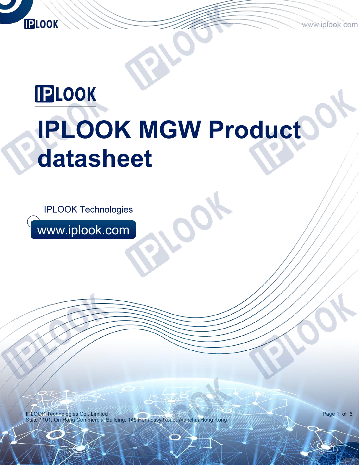www.iplook.com

# **IPLOOK IPLOOK MGW Product datasheet**

**IPLOOK Technologies** 

www.iplook.com

**IPLOOK** 

AN STRUCK STRU

IPLOOK Technologies Co., Limited Suite 1101, On Hong Commercial Building, 145 Hennessy Road, Wanchai Hong Kong

Page 1 of 6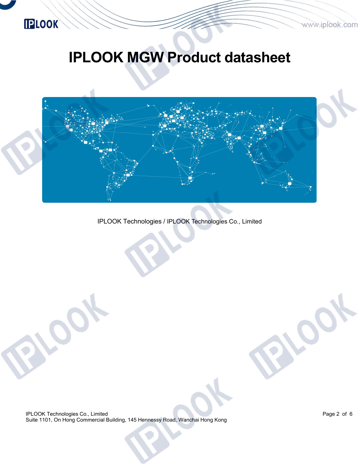# **IPLOOK**

# **IPLOOK MGW Product datasheet**



IPLOOK Technologies / IPLOOK Technologies Co., Limited

IPLOOK Technologies Co., Limited Suite 1101, On Hong Commercial Building, 145 Hennessy Road, Wanchai Hong Kong Page 2 of 6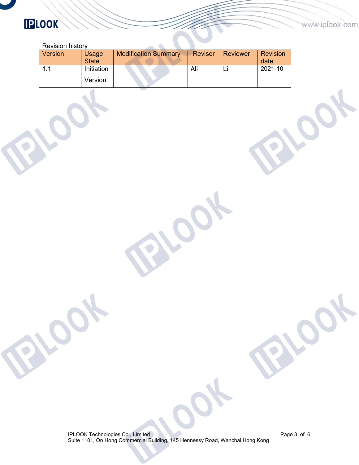#### www.iplook.com

 $\mathcal{L}$ 

# **IPLOOK**

| <b>Revision history</b> |              |                             |                |                 |                 |
|-------------------------|--------------|-----------------------------|----------------|-----------------|-----------------|
| Version                 | Usage        | <b>Modification Summary</b> | <b>Reviser</b> | <b>Reviewer</b> | <b>Revision</b> |
|                         | <b>State</b> |                             |                |                 | date            |
|                         | Initiation   |                             | Ali            | Ъı              | 2021-10         |
|                         | Version      |                             |                |                 |                 |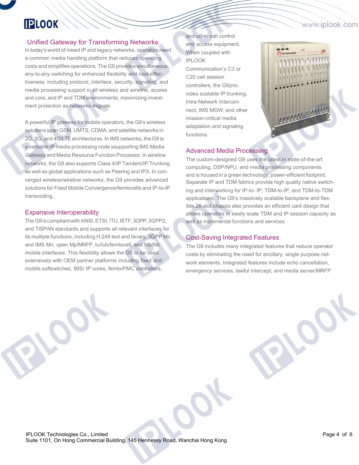#### www.iplook.com

## **IPLOOK**

#### Unified Gateway for Transforming Networks

In today's world of mixed IP and legacy networks, operators need a common media handling platform that reduces operating costs and simplifies operations. The G9 provides simultaneous, any-to-any switching for enhanced flexibility and cost-effectiveness, including protocol, interface, security, signaling, and media processing support in all wireless and wireline, access and core, and IP and TDM environments, maximizing invest ment protection as networks migrate.

A powerful IP gateway for mobile operators, the G9's wireless solutions span GSM, UMTS, CDMA, and satellite networks in 2G, 3G, and 4G/LTEarchitectures. In IMS networks, the G9 is a versatile IP media processing node ssupporting IMS Media Gateway and Media Resource Function Processor. In wireline networks, the G9 also supports Class 4/IP Tandem/IP Trunking as well as global applications such as Peering and IPX. In con verged wireless/wireline networks, the G9 provides advanced solutions for Fixed Mobile Convergence/femtocells and IP-to-IP transcoding.

#### Expansive Interoperability

The G9 is compliant with ANSI, ETSI, ITU, IETF, 3GPP, 3GPP2, and TISPAN standards and supports all relevant interfaces for its multiple functions, including H.248 text and binary, 3GPP Mc and IMS Mn, open Mp/MRFP, Iu/Iuh/femtocell, and Mb/Nb mobile interfaces. This flexibility allows the G9 to be used extensively with OEM partner platforms including fixed and mobile softswitches, IMS/ IP cores, femto/FMC controllers,

and other call control and access equipment. When coupled with IPLOOK Communication's C3 or C20 call session controllers, the G9pro vides scalable IP trunking, Intra-Network Intercon nect, IMS MGW, and other mission-critical media adaptation and signaling functions.



#### Advanced Media Processing

The custom-designed G9 uses the latest in state-of-the-art computing, DSP/NPU, and media processing components and is housed in a green technology, power-efficient footprint. Separate IP and TDM fabrics provide high quality native switching and interworking for IP-to- IP, TDM-to-IP, and TDM-to-TDM applications. The G9's massively scalable backplane and flexible 28-slot chassis also provides an efficient card design that allows operators to easily scale TDM and IP session capacity as well as incremental functions and services.

#### Cost-Saving Integrated Features

The G9 includes many integrated features that reduce operator costs by eliminating the need for ancillary, single purpose net work elements. Integrated features include echo cancellation, emergency services, lawful intercept, and media server/MRFP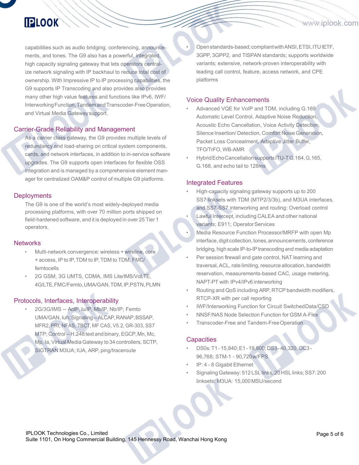### **IPLOOK**

capabilities such as audio bridging, conferencing, announce ments, and tones. The G9 also has a powerful, integrated, high capacity signaling gateway that lets operators centralize network signaling with IP backhaul to reduce total cost of ownership. With Impressive IP to IP processing capabilities, the G9 supports IP Transcoding and also provides also provides many other high value features and functions like IPv6, IWF/ Interworking Function, Tandem and Transcoder-Free Operation, and Virtual Media Gatewaysupport.

#### Carrier-Grade Reliability and Management

As a carrier class gateway, the G9 provides multiple levels of redundancy and load-sharing on critical system components, cards, and network interfaces, in addition to in-service software upgrades. The G9 supports open interfaces for flexible OSS integration and is managed by a comprehensive element man ager for centralized OAM&P control of multiple G9 platforms.

#### **Deployments**

The G9 is one of the world's most widely-deployed media processing platforms, with over 70 million ports shipped on field-hardened software, and it is deployed in over 25 Tier 1 operators.

#### **Networks**

- Multi-network convergence: wireless + wireline, core + access, IP to IP,TDM to IP,TDM to TDM, FMC/ femtocells
- 2G GSM, 3G UMTS, CDMA, IMS Lite/IMS/VoLTE,4G/LTE,FMC/Femto,UMA/GAN,TDM,IP,PSTN,PLMN

#### Protocols, Interfaces, Interoperability

• 2G/3G/IMS -- AoIP, Iu/IP, Mb/IP, Nb/IP; Femto UMA/GAN, luh; Signaling -- ALCAP, RANAP, BSSAP, MFR2, PRI, NFAS, TBCT, MF CAS, V5.2, GR-303, SS7 MTP; Control-- H.248 text and binary, EGCP, Mn, Mc, Mp, Ia, Virtual Media Gateway to 34 controllers, SCTP, SIGTRAN M3UA; IUA, ARP, ping/traceroute

Open standards-based; compliant with ANSI, ETSI, ITU IETF, 3GPP, 3GPP2, and TISPAN standards; supports worldwide variants; extensive, network-proven interoperability with leading call control, feature, access network, and CPE platforms

www.iplook.com

#### Voice Quality Enhancements

- Advanced VQE for VoIP and TDM, including G.169 Automatic Level Control, Adaptive Noise Reduction, Acoustic Echo Cancellation, Voice Activity Detection, Silence Insertion/ Detection, Comfort Noise Generation, Packet Loss Concealment, Adaptive Jitter Buffer, TFO/TrFO, WB-AMR
- HybridEchoCancellationsupportsITU-TG.164,G.165, G.168, and echo tail to 128ms

#### Integrated Features

- High-capacity signaling gateway supports up to 200 SS7 linksets with TDM (MTP2/3/3b), and M3UA interfaces, and SS7-SS7 interworking and routing; Overload control
- Lawful Intercept, including CALEA and other national variants; E911; Operator Services
- Media Resource Function Processor/MRFP with open Mp interface, digit collection, tones, announcements, conference bridging, high scale IP-to-IP transcoding and media adaptation
- Per session firewall and gate control, NAT learning and traversal, ACL, rate limiting, resource allocation, bandwidth reservation, measurements-based CAC, usage metering, NAPT-PT with IPv4/IPv6 interworking
- Routing and QoS including ARP, RTCP bandwidth modifiers, RTCP-XR with per call reporting
- IWF/Interworking Function for Circuit SwitchedData/CSD
- NNSF/NAS Node Selection Function for GSM A-Flex
- Transcoder-Free and Tandem-FreeOperation

#### **Capacities**

- DS0s:T1-15,840;E1-19,800;DS3-40,320;OC3- 96,768; STM-1 - 90,720w/FPS
- IP: 4 8 Gigabit Ethernet
- Signaling Gateway: 512 LSL links, 20 HSL links; SS7: 200 linksets; M3UA: 15,000MSU/second